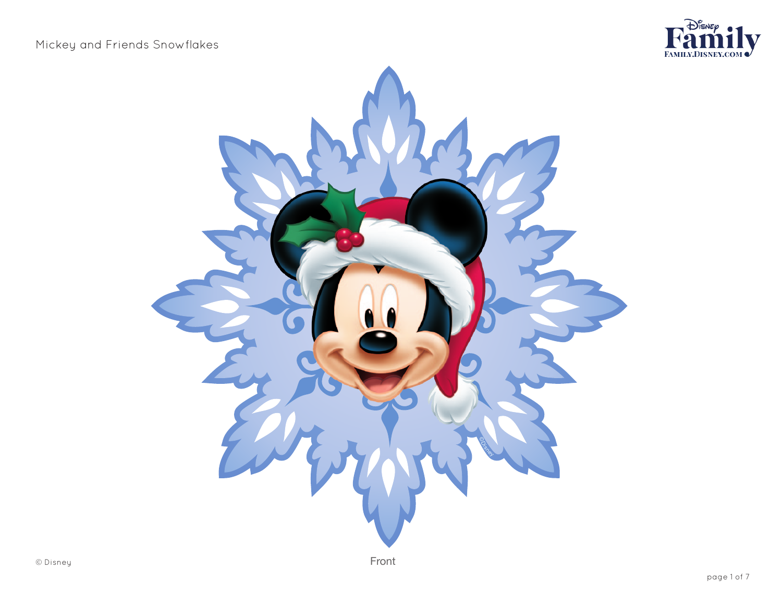

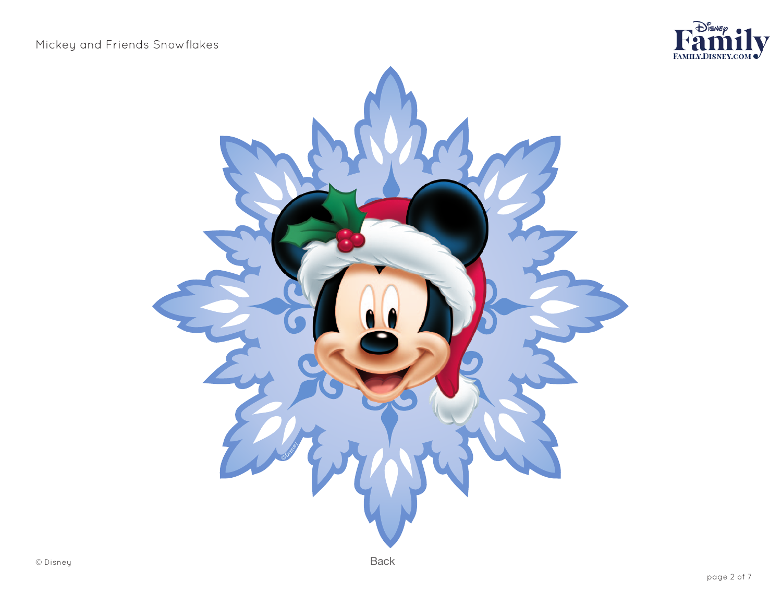

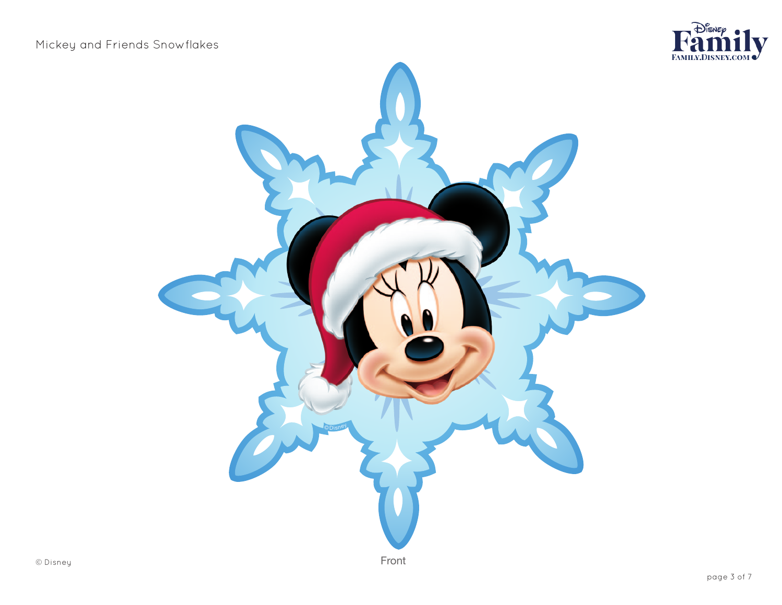

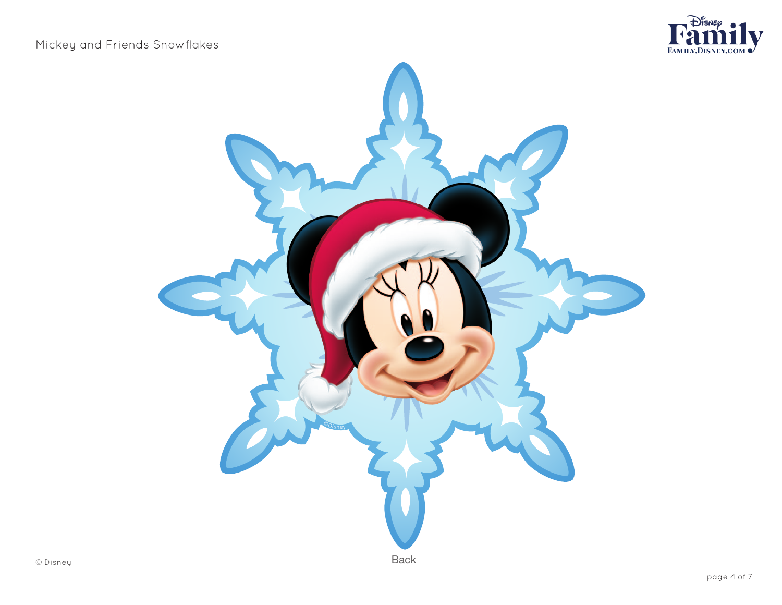

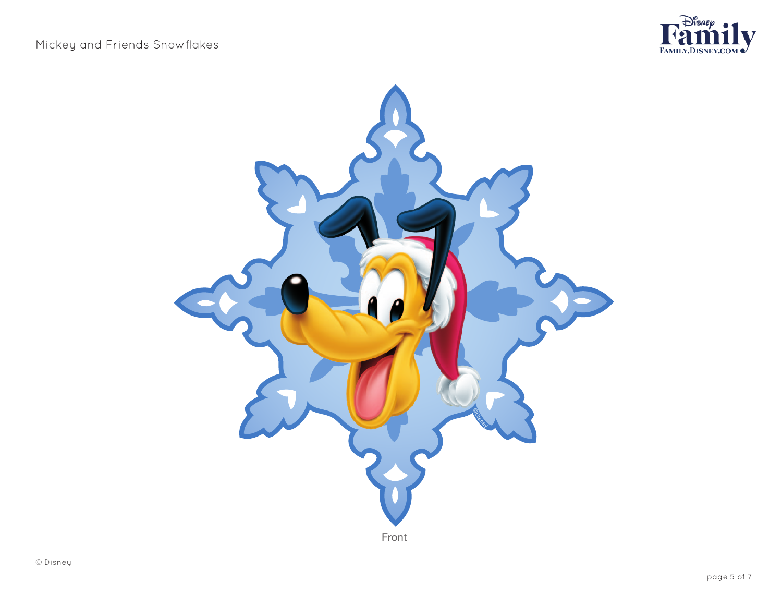

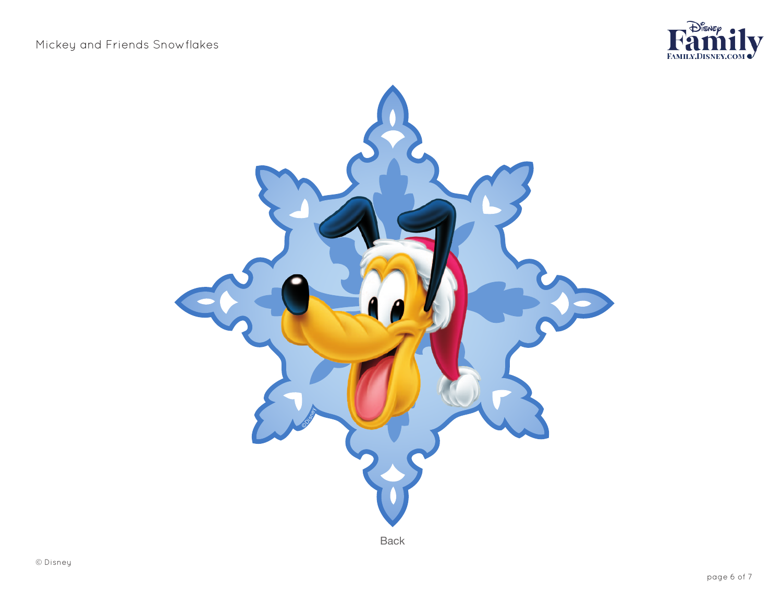